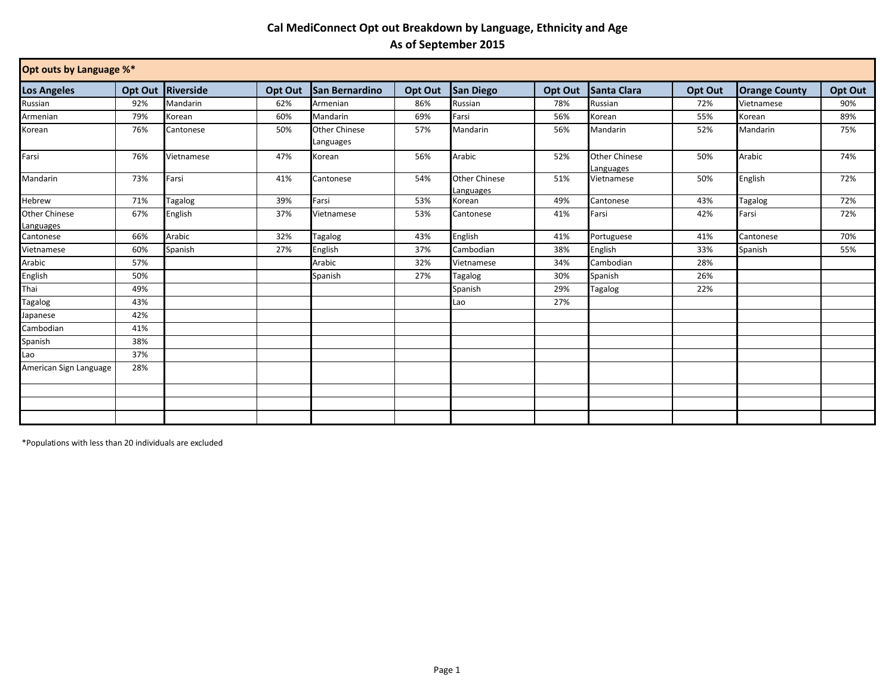## **Cal MediConnect Opt out Breakdown by Language, Ethnicity and Age As of September 2015**

| Opt outs by Language %*           |                |            |         |                                   |         |                            |         |                                   |         |                      |         |
|-----------------------------------|----------------|------------|---------|-----------------------------------|---------|----------------------------|---------|-----------------------------------|---------|----------------------|---------|
| <b>Los Angeles</b>                | <b>Opt Out</b> | Riverside  | Opt Out | San Bernardino                    | Opt Out | <b>San Diego</b>           | Opt Out | Santa Clara                       | Opt Out | <b>Orange County</b> | Opt Out |
| Russian                           | 92%            | Mandarin   | 62%     | Armenian                          | 86%     | Russian                    | 78%     | Russian                           | 72%     | Vietnamese           | 90%     |
| Armenian                          | 79%            | Korean     | 60%     | Mandarin                          | 69%     | Farsi                      | 56%     | Korean                            | 55%     | Korean               | 89%     |
| Korean                            | 76%            | Cantonese  | 50%     | <b>Other Chinese</b><br>Languages | 57%     | Mandarin                   | 56%     | Mandarin                          | 52%     | Mandarin             | 75%     |
| Farsi                             | 76%            | Vietnamese | 47%     | Korean                            | 56%     | Arabic                     | 52%     | <b>Other Chinese</b><br>Languages | 50%     | Arabic               | 74%     |
| Mandarin                          | 73%            | Farsi      | 41%     | Cantonese                         | 54%     | Other Chinese<br>Languages | 51%     | Vietnamese                        | 50%     | English              | 72%     |
| Hebrew                            | 71%            | Tagalog    | 39%     | Farsi                             | 53%     | Korean                     | 49%     | Cantonese                         | 43%     | <b>Tagalog</b>       | 72%     |
| <b>Other Chinese</b><br>Languages | 67%            | English    | 37%     | Vietnamese                        | 53%     | Cantonese                  | 41%     | Farsi                             | 42%     | Farsi                | 72%     |
| Cantonese                         | 66%            | Arabic     | 32%     | Tagalog                           | 43%     | English                    | 41%     | Portuguese                        | 41%     | Cantonese            | 70%     |
| Vietnamese                        | 60%            | Spanish    | 27%     | English                           | 37%     | Cambodian                  | 38%     | English                           | 33%     | Spanish              | 55%     |
| Arabic                            | 57%            |            |         | Arabic                            | 32%     | Vietnamese                 | 34%     | Cambodian                         | 28%     |                      |         |
| English                           | 50%            |            |         | Spanish                           | 27%     | Tagalog                    | 30%     | Spanish                           | 26%     |                      |         |
| Thai                              | 49%            |            |         |                                   |         | Spanish                    | 29%     | Tagalog                           | 22%     |                      |         |
| Tagalog                           | 43%            |            |         |                                   |         | Lao                        | 27%     |                                   |         |                      |         |
| Japanese                          | 42%            |            |         |                                   |         |                            |         |                                   |         |                      |         |
| Cambodian                         | 41%            |            |         |                                   |         |                            |         |                                   |         |                      |         |
| Spanish                           | 38%            |            |         |                                   |         |                            |         |                                   |         |                      |         |
| Lao                               | 37%            |            |         |                                   |         |                            |         |                                   |         |                      |         |
| American Sign Language            | 28%            |            |         |                                   |         |                            |         |                                   |         |                      |         |
|                                   |                |            |         |                                   |         |                            |         |                                   |         |                      |         |
|                                   |                |            |         |                                   |         |                            |         |                                   |         |                      |         |
|                                   |                |            |         |                                   |         |                            |         |                                   |         |                      |         |

\*Populations with less than 20 individuals are excluded